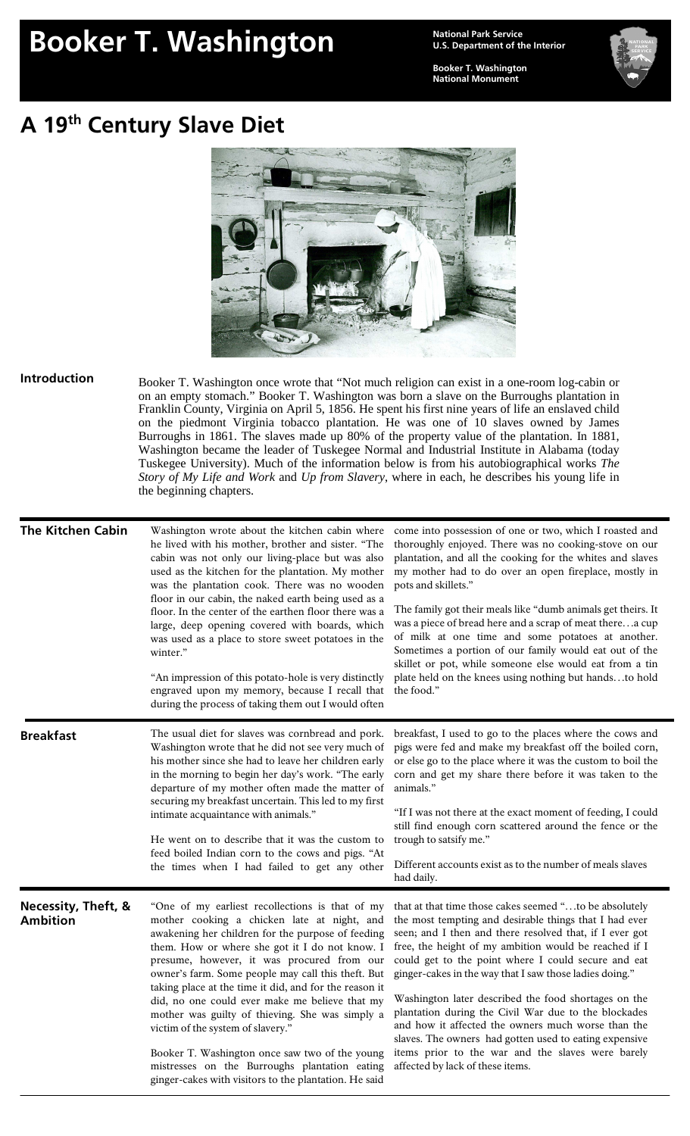## **Booker T. Washington Mational Park Service**

**U.S. Department of the Interior** 

**Booker T. Washington National Monument** 



## **A 19th Century Slave Diet**



**Introduction**  Booker T. Washington once wrote that "Not much religion can exist in a one-room log-cabin or on an empty stomach." Booker T. Washington was born a slave on the Burroughs plantation in Franklin County, Virginia on April 5, 1856. He spent his first nine years of life an enslaved child on the piedmont Virginia tobacco plantation. He was one of 10 slaves owned by James Burroughs in 1861. The slaves made up 80% of the property value of the plantation. In 1881, Washington became the leader of Tuskegee Normal and Industrial Institute in Alabama (today Tuskegee University). Much of the information below is from his autobiographical works *The Story of My Life and Work* and *Up from Slavery*, where in each, he describes his young life in the beginning chapters.

| <b>The Kitchen Cabin</b>               | Washington wrote about the kitchen cabin where<br>he lived with his mother, brother and sister. "The<br>cabin was not only our living-place but was also<br>used as the kitchen for the plantation. My mother<br>was the plantation cook. There was no wooden<br>floor in our cabin, the naked earth being used as a<br>floor. In the center of the earthen floor there was a<br>large, deep opening covered with boards, which<br>was used as a place to store sweet potatoes in the<br>winter."<br>"An impression of this potato-hole is very distinctly<br>engraved upon my memory, because I recall that<br>during the process of taking them out I would often       | come into possession of one or two, which I roasted and<br>thoroughly enjoyed. There was no cooking-stove on our<br>plantation, and all the cooking for the whites and slaves<br>my mother had to do over an open fireplace, mostly in<br>pots and skillets."<br>The family got their meals like "dumb animals get theirs. It<br>was a piece of bread here and a scrap of meat therea cup<br>of milk at one time and some potatoes at another.<br>Sometimes a portion of our family would eat out of the<br>skillet or pot, while someone else would eat from a tin<br>plate held on the knees using nothing but handsto hold<br>the food."                                     |
|----------------------------------------|---------------------------------------------------------------------------------------------------------------------------------------------------------------------------------------------------------------------------------------------------------------------------------------------------------------------------------------------------------------------------------------------------------------------------------------------------------------------------------------------------------------------------------------------------------------------------------------------------------------------------------------------------------------------------|---------------------------------------------------------------------------------------------------------------------------------------------------------------------------------------------------------------------------------------------------------------------------------------------------------------------------------------------------------------------------------------------------------------------------------------------------------------------------------------------------------------------------------------------------------------------------------------------------------------------------------------------------------------------------------|
| <b>Breakfast</b>                       | The usual diet for slaves was cornbread and pork.<br>Washington wrote that he did not see very much of<br>his mother since she had to leave her children early<br>in the morning to begin her day's work. "The early<br>departure of my mother often made the matter of<br>securing my breakfast uncertain. This led to my first<br>intimate acquaintance with animals."<br>He went on to describe that it was the custom to<br>feed boiled Indian corn to the cows and pigs. "At<br>the times when I had failed to get any other                                                                                                                                         | breakfast, I used to go to the places where the cows and<br>pigs were fed and make my breakfast off the boiled corn,<br>or else go to the place where it was the custom to boil the<br>corn and get my share there before it was taken to the<br>animals."<br>"If I was not there at the exact moment of feeding, I could<br>still find enough corn scattered around the fence or the<br>trough to satsify me."<br>Different accounts exist as to the number of meals slaves<br>had daily.                                                                                                                                                                                      |
| Necessity, Theft, &<br><b>Ambition</b> | "One of my earliest recollections is that of my<br>mother cooking a chicken late at night, and<br>awakening her children for the purpose of feeding<br>them. How or where she got it I do not know. I<br>presume, however, it was procured from our<br>owner's farm. Some people may call this theft. But<br>taking place at the time it did, and for the reason it<br>did, no one could ever make me believe that my<br>mother was guilty of thieving. She was simply a<br>victim of the system of slavery."<br>Booker T. Washington once saw two of the young<br>mistresses on the Burroughs plantation eating<br>ginger-cakes with visitors to the plantation. He said | that at that time those cakes seemed "to be absolutely<br>the most tempting and desirable things that I had ever<br>seen; and I then and there resolved that, if I ever got<br>free, the height of my ambition would be reached if I<br>could get to the point where I could secure and eat<br>ginger-cakes in the way that I saw those ladies doing."<br>Washington later described the food shortages on the<br>plantation during the Civil War due to the blockades<br>and how it affected the owners much worse than the<br>slaves. The owners had gotten used to eating expensive<br>items prior to the war and the slaves were barely<br>affected by lack of these items. |